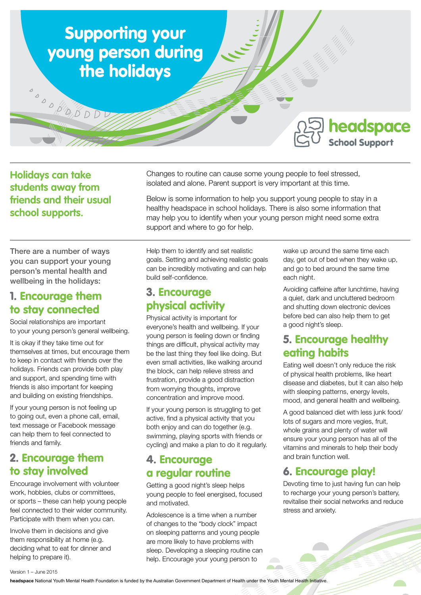

**Holidays can take students away from friends and their usual school supports.** 

Changes to routine can cause some young people to feel stressed, isolated and alone. Parent support is very important at this time.

Below is some information to help you support young people to stay in a healthy headspace in school holidays. There is also some information that may help you to identify when your young person might need some extra support and where to go for help.

There are a number of ways you can support your young person's mental health and wellbeing in the holidays:

#### 1. Encourage them to stay connected

Social relationships are important to your young person's general wellbeing.

It is okay if they take time out for themselves at times, but encourage them to keep in contact with friends over the holidays. Friends can provide both play and support, and spending time with friends is also important for keeping and building on existing friendships.

If your young person is not feeling up to going out, even a phone call, email, text message or Facebook message can help them to feel connected to friends and family.

### 2. Encourage them to stay involved

Encourage involvement with volunteer work, hobbies, clubs or committees, or sports – these can help young people feel connected to their wider community. Participate with them when you can.

Involve them in decisions and give them responsibility at home (e.g. deciding what to eat for dinner and helping to prepare it).

Help them to identify and set realistic goals. Setting and achieving realistic goals can be incredibly motivating and can help build self-confidence.

### 3. Encourage physical activity

Physical activity is important for everyone's health and wellbeing. If your young person is feeling down or finding things are difficult, physical activity may be the last thing they feel like doing. But even small activities, like walking around the block, can help relieve stress and frustration, provide a good distraction from worrying thoughts, improve concentration and improve mood.

If your young person is struggling to get active, find a physical activity that you both enjoy and can do together (e.g. swimming, playing sports with friends or cycling) and make a plan to do it regularly.

#### 4. Encourage a regular routine

Getting a good night's sleep helps young people to feel energised, focused and motivated.

Adolescence is a time when a number of changes to the "body clock" impact on sleeping patterns and young people are more likely to have problems with sleep. Developing a sleeping routine can help. Encourage your young person to

wake up around the same time each day, get out of bed when they wake up, and go to bed around the same time each night.

Avoiding caffeine after lunchtime, having a quiet, dark and uncluttered bedroom and shutting down electronic devices before bed can also help them to get a good night's sleep.

## 5. Encourage healthy eating habits

Eating well doesn't only reduce the risk of physical health problems, like heart disease and diabetes, but it can also help with sleeping patterns, energy levels, mood, and general health and wellbeing.

A good balanced diet with less junk food/ lots of sugars and more vegies, fruit, whole grains and plenty of water will ensure your young person has all of the vitamins and minerals to help their body and brain function well.

# 6. Encourage play!

**START** 

Devoting time to just having fun can help to recharge your young person's battery, revitalise their social networks and reduce stress and anxiety.

**headspace** National Youth Mental Health Foundation is funded by the Australian Government Department of Health under the Youth Mental Health Initiative.